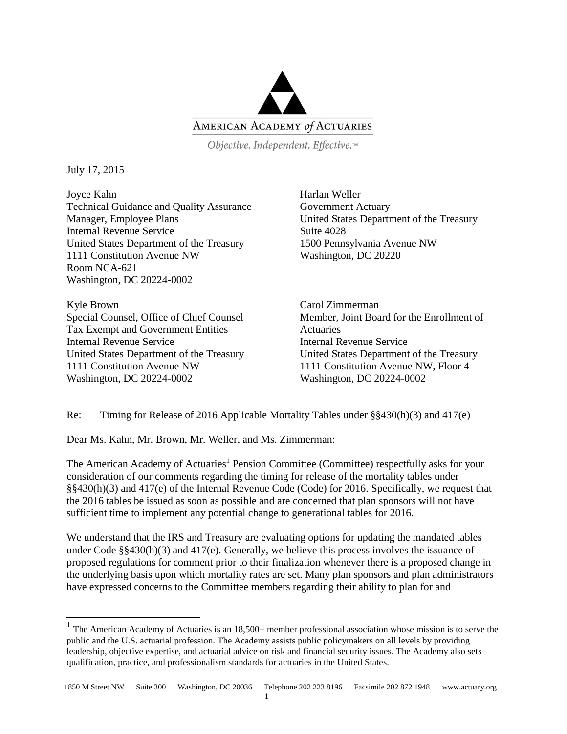

Objective. Independent. Effective.™

July 17, 2015

 $\overline{a}$ 

Joyce Kahn Technical Guidance and Quality Assurance Manager, Employee Plans Internal Revenue Service United States Department of the Treasury 1111 Constitution Avenue NW Room NCA-621 Washington, DC 20224-0002

Kyle Brown Special Counsel, Office of Chief Counsel Tax Exempt and Government Entities Internal Revenue Service United States Department of the Treasury 1111 Constitution Avenue NW Washington, DC 20224-0002

Harlan Weller Government Actuary United States Department of the Treasury Suite 4028 1500 Pennsylvania Avenue NW Washington, DC 20220

Carol Zimmerman Member, Joint Board for the Enrollment of **Actuaries** Internal Revenue Service United States Department of the Treasury 1111 Constitution Avenue NW, Floor 4 Washington, DC 20224-0002

Re: Timing for Release of 2016 Applicable Mortality Tables under §§430(h)(3) and 417(e)

Dear Ms. Kahn, Mr. Brown, Mr. Weller, and Ms. Zimmerman:

The American Academy of Actuaries<sup>1</sup> Pension Committee (Committee) respectfully asks for your consideration of our comments regarding the timing for release of the mortality tables under §§430(h)(3) and 417(e) of the Internal Revenue Code (Code) for 2016. Specifically, we request that the 2016 tables be issued as soon as possible and are concerned that plan sponsors will not have sufficient time to implement any potential change to generational tables for 2016.

We understand that the IRS and Treasury are evaluating options for updating the mandated tables under Code §§430(h)(3) and 417(e). Generally, we believe this process involves the issuance of proposed regulations for comment prior to their finalization whenever there is a proposed change in the underlying basis upon which mortality rates are set. Many plan sponsors and plan administrators have expressed concerns to the Committee members regarding their ability to plan for and

<sup>&</sup>lt;sup>1</sup> The American Academy of Actuaries is an  $18,500+$  member professional association whose mission is to serve the public and the U.S. actuarial profession. The Academy assists public policymakers on all levels by providing leadership, objective expertise, and actuarial advice on risk and financial security issues. The Academy also sets qualification, practice, and professionalism standards for actuaries in the United States.